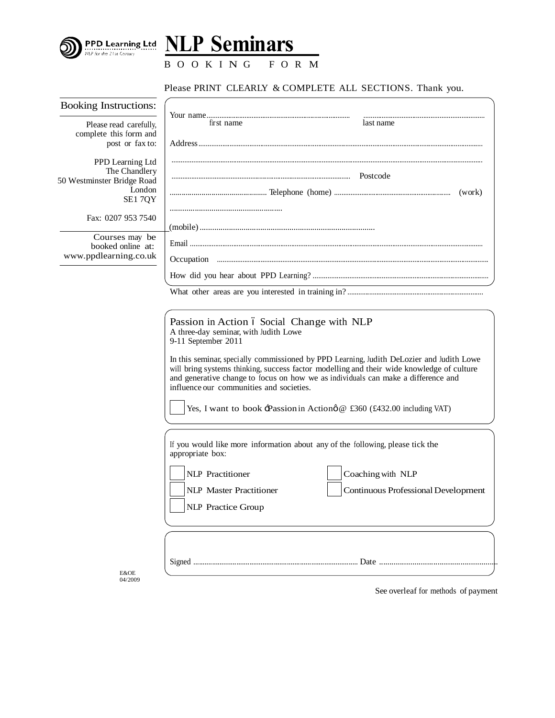



B O O K I N G F O R M

## Please PRINT CLEARLY & COMPLETE ALL SECTIONS. Thank you.

| <b>Booking Instructions:</b>                                                               |                                                                                                                                                                                                                                                                                                                                                                                                                                                                                                               |
|--------------------------------------------------------------------------------------------|---------------------------------------------------------------------------------------------------------------------------------------------------------------------------------------------------------------------------------------------------------------------------------------------------------------------------------------------------------------------------------------------------------------------------------------------------------------------------------------------------------------|
| Please read carefully,<br>complete this form and<br>post or fax to:                        | first name<br>last name                                                                                                                                                                                                                                                                                                                                                                                                                                                                                       |
| PPD Learning Ltd<br>The Chandlery<br>50 Westminster Bridge Road<br>London<br><b>SE17QY</b> | (work)                                                                                                                                                                                                                                                                                                                                                                                                                                                                                                        |
| Fax: 0207 953 7540                                                                         |                                                                                                                                                                                                                                                                                                                                                                                                                                                                                                               |
| Courses may be<br>booked online at:<br>www.ppdlearning.co.uk                               |                                                                                                                                                                                                                                                                                                                                                                                                                                                                                                               |
|                                                                                            |                                                                                                                                                                                                                                                                                                                                                                                                                                                                                                               |
|                                                                                            |                                                                                                                                                                                                                                                                                                                                                                                                                                                                                                               |
|                                                                                            | Passion in Action ó Social Change with NLP<br>A three-day seminar, with Judith Lowe<br>9-11 September 2011<br>In this seminar, specially commissioned by PPD Learning, Judith DeLozier and Judith Lowe<br>will bring systems thinking, success factor modelling and their wide knowledge of culture<br>and generative change to focus on how we as individuals can make a difference and<br>influence our communities and societies.<br>Yes, I want to book -Passion in Action & £360 (£432.00 including VAT) |
|                                                                                            | If you would like more information about any of the following, please tick the<br>appropriate box:                                                                                                                                                                                                                                                                                                                                                                                                            |
|                                                                                            | <b>NLP</b> Practitioner<br>Coaching with NLP<br><b>NLP</b> Master Practitioner<br><b>Continuous Professional Development</b><br>NLP Practice Group                                                                                                                                                                                                                                                                                                                                                            |
| <b>E&amp;OE</b><br>04/2009                                                                 | See overleaf for methods of payment                                                                                                                                                                                                                                                                                                                                                                                                                                                                           |